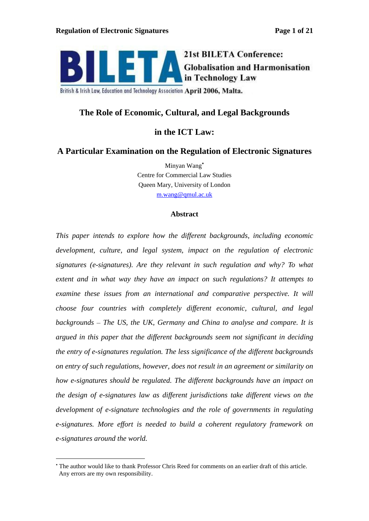

**21st BILETA Conference: Globalisation and Harmonisation** in Technology Law

British & Irish Law, Education and Technology Association April 2006, Malta.

# **The Role of Economic, Cultural, and Legal Backgrounds**

# **in the ICT Law:**

## **A Particular Examination on the Regulation of Electronic Signatures**

Minyan Wang Centre for Commercial Law Studies Queen Mary, University of London m.wang@qmul.ac.uk

### **Abstract**

*This paper intends to explore how the dif erent backgrounds, including economic development, culture, and legal system, impact on the regulation of electronic signatures (e-signatures). Are they relevant in such regulation and why? To what extent and in what way they have an impact on such regulations? It attempts to examine these issues from an international and comparative perspective. It will choose four countries with completely dif erent economic,cultural, and legal backgrounds The US, the UK, Germany and China to analyse and compare. It is argued in this paper that the dif erent backgrounds seem not significant in deciding the entry of e-signatures regulation. The less significance of the dif erent backgrounds on entry of such regulations, however, does not result in an agreement or similarity on how e-signatures should be regulated. The dif erent backgrounds have an impact on the design of e-signatures law as dif erent jurisdictionstake dif erent views on the development of e-signature technologies and the role of governments in regulating e-signatures. More ef ort is needed to build a coherent regulatory framework on e-signatures around the world.*

The author would like to thank Professor Chris Reed for comments on an earlier draft of this article. Any errors are my own responsibility.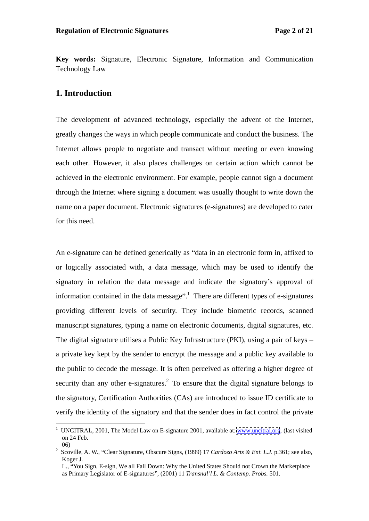**Key words:** Signature, Electronic Signature, Information and Communication Technology Law

## **1. Introduction**

The development of advanced technology, especially the advent of the Internet, greatly changes the ways in which people communicate and conduct the business. The Internet allows people to negotiate and transact without meeting or even knowing each other. However, it also places challenges on certain action which cannot be achieved in the electronic environment. For example, people cannot sign a document through the Internet where signing a document was usually thought to write down the name on a paper document. Electronic signatures (e-signatures) are developed to cater for this need.

An e-signature can be defined generically as "data in an electronic form in, affixed to or logically associated with, a data message, which may be used to identify the signatory in relation the data message and indicate the signatory's approval of information contained in the data message".<sup>1</sup> There are different types of e-signatures providing different levels of security. They include biometric records, scanned manuscript signatures, typing a name on electronic documents, digital signatures, etc. The digital signature utilises a Public Key Infrastructure (PKI), using a pair of keys a private key kept by the sender to encrypt the message and a public key available to the public to decode the message. It is often perceived as offering a higher degree of security than any other e-signatures.<sup>2</sup> To ensure that the digital signature belongs to the signatory, Certification Authorities (CAs) are introduced to issue ID certificate to verify the identity of the signatory and that the sender does in fact control the private

<sup>&</sup>lt;sup>1</sup> UNCITRAL, 2001, The Model Law on E-signature 2001, available at: [www.uncitral.org](http://www.uncitral.org). (last visited on 24 Feb.

<sup>06)</sup> <sup>2</sup> Scoville, A. W., Clear Signature, Obscure Signs, (1999) <sup>17</sup> *Cardozo Arts & Ent. L.J.* p.361; see also, Koger J.

L., "You Sign, E-sign, We all Fall Down: Why the United States Should not Crown the Marketplace as Primary Legislator of E-signatures", (2001) 11 *Transnal'l L. & Contemp. Probs.* 501.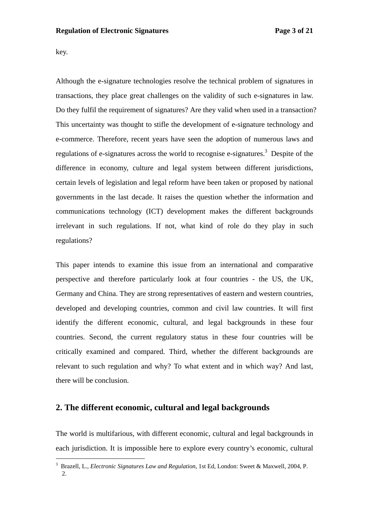key.

Although the e-signature technologies resolve the technical problem of signatures in transactions, they place great challenges on the validity of such e-signatures in law. Do they fulfil the requirement of signatures? Are they valid when used in a transaction? This uncertainty was thought to stifle the development of e-signature technology and e-commerce. Therefore, recent years have seen the adoption of numerous laws and regulations of e-signatures across the world to recognise e-signatures.<sup>3</sup> Despite of the difference in economy, culture and legal system between different jurisdictions, certain levels of legislation and legal reform have been taken or proposed by national governments in the last decade. It raises the question whether the information and communications technology (ICT) development makes the different backgrounds irrelevant in such regulations. If not, what kind of role do they play in such regulations?

This paper intends to examine this issue from an international and comparative perspective and therefore particularly look at four countries - the US, the UK, Germany and China. They are strong representatives of eastern and western countries, developed and developing countries, common and civil law countries. It will first identify the different economic, cultural, and legal backgrounds in these four countries. Second, the current regulatory status in these four countries will be critically examined and compared. Third, whether the different backgrounds are relevant to such regulation and why? To what extent and in which way? And last, there will be conclusion.

## **2. The different economic, cultural and legal backgrounds**

The world is multifarious, with different economic, cultural and legal backgrounds in each jurisdiction. It is impossible here to explore every country's economic, cultural

 <sup>3</sup> Brazell, L., *Electronic Signatures Law and Regulation*, 1st Ed, London: Sweet & Maxwell, 2004, P. 2.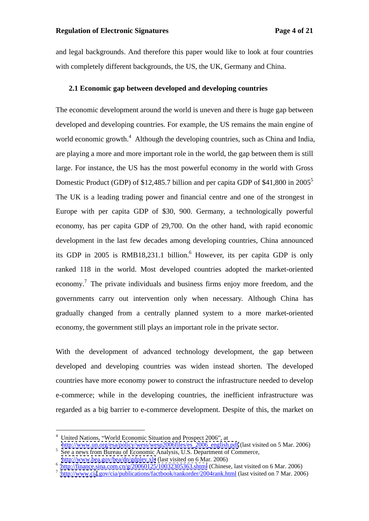and legal backgrounds. And therefore this paper would like to look at four countries with completely different backgrounds, the US, the UK, Germany and China.

#### **2.1 Economic gap between developed and developing countries**

The economic development around the world is uneven and there is huge gap between developed and developing countries. For example, the US remains the main engine of world economic growth.<sup>4</sup> Although the developing countries, such as China and India, are playing a more and more important role in the world, the gap between them is still large. For instance, the US has the most powerful economy in the world with Gross Domestic Product (GDP) of \$12,485.7 billion and per capita GDP of \$41,800 in 2005<sup>5</sup> The UK is a leading trading power and financial centre and one of the strongest in Europe with per capita GDP of \$30, 900. Germany, a technologically powerful economy, has per capita GDP of 29,700. On the other hand, with rapid economic development in the last few decades among developing countries, China announced its GDP in 2005 is RMB18,231.1 billion.<sup>6</sup> However, its per capita GDP is only ranked 118 in the world. Most developed countries adopted the market-oriented economy.<sup>7</sup> The private individuals and business firms enjoy more freedom, and the governments carry out intervention only when necessary. Although China has gradually changed from a centrally planned system to a more market-oriented economy, the government still plays an important role in the private sector.

With the development of advanced technology development, the gap between developed and developing countries was widen instead shorten. The developed countries have more economy power to construct the infrastructure needed to develop e-commerce; while in the developing countries, the inefficient infrastructure was regarded as a big barrier to e-commerce development. Despite of this, the market on

<http://www.bea.gov/bea/dn/gdplev.xls> (last visited on 6 Mar. 2006)<br>6 http://finance.gine.com.cn/g/20060125/10032305363.chtml (Chinase, lest visited on 6 Mar. 2006)

<sup>&</sup>lt;sup>4</sup> United Nations, "World Economic Situation and Prospect 2006", at

http://www.un.org/esa/policy/wess/wesp2006files/es<sup>2006\_english.pdf</sup> (last visited on 5 Mar. 2006) See a news from Bureau of Economic Analysis, U.S. Department of Commerce, http://www.bea.gov/bea/dn/gdplev.xls (last visite

 $\frac{\text{http://finance.sina.com cn/g/20060125/10032305363.shtml}}{\text{http://www.cio.gov/cio/mublication/forbook/conkor/2004rank.html (lost visited on 5 Mar. 2006)}$ 

<http://www.cia>.gov/cia/publications/factbook/rankorder/2004rank.html (last visited on 7 Mar. 2006)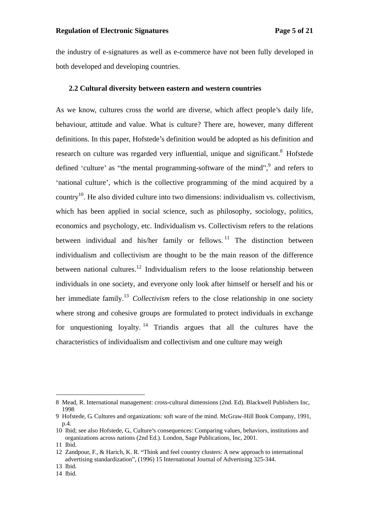the industry of e-signatures as well as e-commerce have not been fully developed in both developed and developing countries.

#### **2.2 Cultural diversity between eastern and western countries**

As we know, cultures cross the world are diverse, which affect people's daily life, behaviour, attitude and value. What is culture? There are, however, many different definitions. In this paper, Hofstede's definition would be adopted as his definition and research on culture was regarded very influential, unique and significant.<sup>8</sup> Hofstede defined 'culture' as "the mental programming-software of the mind", $9$  and refers to and refers to 'national culture', which is the collective programming of the mind acquired by a country<sup>10</sup>. He also divided culture into two dimensions: individualism vs. collectivism, which has been applied in social science, such as philosophy, sociology, politics, economics and psychology, etc. Individualism vs. Collectivism refers to the relations between individual and his/her family or fellows.<sup>11</sup> The distinction between individualism and collectivism are thought to be the main reason of the difference between national cultures.<sup>12</sup> Individualism refers to the loose relationship between individuals in one society, and everyone only look after himself or herself and his or her immediate family.<sup>13</sup> *Collectivism* refers to the close relationship in one society where strong and cohesive groups are formulated to protect individuals in exchange for unquestioning loyalty. <sup>14</sup> Triandis argues that all the cultures have the characteristics of individualism and collectivism and one culture may weigh

 <sup>8</sup> Mead, R. International management: cross-cultural dimensions (2nd. Ed). Blackwell Publishers Inc, 1998

<sup>9</sup> Hofstede, G. Cultures and organizations: soft ware of the mind. McGraw-Hill Book Company, 1991, p.4.

<sup>10</sup> Ibid; see also Hofstede, G., Culture's consequences: Comparing values, behaviors, institutions and organizations across nations (2nd Ed.). London, Sage Publications, Inc, 2001. 11 Ibid.

<sup>12</sup> Zandpour, F., & Harich, K. R. Think and feel country clusters: A new approach to international advertising standardization", (1996) 15 International Journal of Advertising 325-344.

<sup>13</sup> Ibid.

<sup>14</sup> Ibid.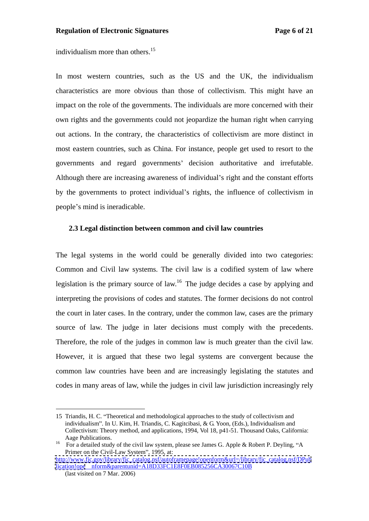individualism more than others.15

In most western countries, such as the US and the UK, the individualism characteristics are more obvious than those of collectivism. This might have an impact on the role of the governments. The individuals are more concerned with their own rights and the governments could not jeopardize the human right when carrying out actions. In the contrary, the characteristics of collectivism are more distinct in most eastern countries, such as China. For instance, people get used to resort to the governments and regard governments' decision authoritative and irrefutable. Although there are increasing awareness of individual's right and the constant efforts by the governments to protect individual's rights, the influence of collectivism in people's mind is ineradicable.

#### **2.3 Legal distinction between common and civil law countries**

The legal systems in the world could be generally divided into two categories: Common and Civil law systems. The civil law is a codified system of law where legislation is the primary source of law.<sup>16</sup> The judge decides a case by applying and interpreting the provisions of codes and statutes. The former decisions do not control the court in later cases. In the contrary, under thecommon law, cases are the primary source of law. The judge in later decisions must comply with the precedents. Therefore, the role of the judges in common law is much greater than the civil law. However, it is argued that these two legal systems are convergent because the common law countries have been and are increasingly legislating the statutes and codes in many areas of law, while the judges in civillaw jurisdiction increasingly rely

 <sup>15</sup> Triandis, H. C. Theoretical and methodological approaches to the study of collectivism and individualism". In U. Kim, H. Triandis, C. Kagitcibasi, & G. Yoon, (Eds.), Individualism and Collectivism: Theory method, and applications, 1994, Vol 18, p41-51. Thousand Oaks, California:

Aage Publications.<br>
<sup>16</sup> For a detailed study of the civil law system, please see James G. Apple & Robert P. Deyling, "A<br>
Primer on the Civil-Law System", 1995, at: Primer on the Civil-Law System", 1995, at:

[http://www.fjc.gov/library/fjc\\_catalog.nsf/autoframepage!openform&url=/library/fjc\\_catalog.nsf/DPub](http://www.fjc.gov/library/fjc_catalog.nsf/autoframepage!openform&url=/library/fjc_catalog.nsf/DPub) <lication!ope> nform&parentunid=A18D33FC1E8F0EB085256CA30067C10B

<sup>(</sup>last visited on 7 Mar. 2006)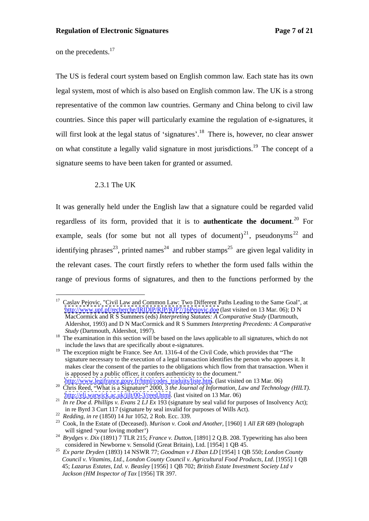on the precedents. $17$ 

The US is federal court system based on English common law. Each state hasits own legal system, most of which is also based on English common law. The UK is a strong representative of the common law countries. Germany and China belong to civil law countries. Since this paper will particularly examine the regulation of e-signatures, it will first look at the legal status of 'signatures'.<sup>18</sup> There is, however, no clear answer on what constitute a legally valid signature in most jurisdictions.<sup>19</sup> The concept of a signature seems to have been taken for granted or assumed.

## 2.3.1 The UK

It was generally held under the English law that a signature could be regarded valid regardless of its form, provided that it is to **authenticate the document**.<sup>20</sup> For example, seals (for some but not all types of document)<sup>21</sup>, pseudonyms<sup>22</sup> and  $^{22}$  and and identifying phrases<sup>23</sup>, printed names<sup>24</sup> and rubber stamps<sup>25</sup> are given legal validity in the relevant cases. The court firstly refers to whether the form used falls within the range of previous forms of signatures, and then to the functions performed by the

<sup>&</sup>lt;sup>17</sup> Caslav Pejovic, "Civil Law and Common Law: Two Different Paths Leading to the Same Goal", at <http://www.upf.pf/recherche/IRIDIP/RJP/RJP7/16Pejovic.doc> (last visited on 13 Mar. 06); D N MacCormick and R S Summers (eds) *Interpreting Statutes: A Comparative Study* (Dartmouth, Aldershot, 1993) and D N MacCormick and R S Summers *Interpreting Precedents: A Comparative*

*Study* (Dartmouth, Aldershot, 1997).<br><sup>18</sup> The examination in this section will be based on the laws applicable to all signatures, which do not

include the laws that are specifically about e-signatures.<br><sup>19</sup> The exception might be France. See Art. 1316-4 of the Civil Code, which provides that "The signature necessary to the execution of a legal transaction identifies the person who apposes it. It makes clear the consent of the parties to the obligations which flow from that transaction. When it is apposed by a public officer, it confers authenticity to the document."<br>http://www.legifrance.gouv.fr/html/codes\_traduits/liste.htm. (last visited on 13 Mar. 06)

<sup>&</sup>lt;sup>20</sup> Chris Reed, "What is a Signature" 2000, 3 the Journal of Information, Law and Technology (HILT).

<sup>&</sup>lt;sup>21</sup> *In re Doe d. Phillips v. Evans* 2 *LJ Ex* 193 (signature by seal valid for purposes of Insolvency Act);<br><sup>21</sup> *In re Doe d. Phillips v. Evans* 2 *LJ Ex* 193 (signature by seal valid for purposes of Wills Act).

 $^{22}$  Redding, in re (1850) 14 Jur 1052, 2 Rob. Ecc. 339.<br><sup>23</sup> Cook, In the Estate of (Deceased). *Murison v. Cook and Another*, [1960] 1 *All ER* 689 (holograph

will signed 'your loving mother')<br><sup>24</sup> *Brydges v. Dix* (1891) 7 TLR 215; *France v. Dutton*, [1891] 2 Q.B. 208. Typewriting has also been<br>considered in Newborne v. Sensolid (Great Britain), Ltd. [1954] 1 OB 45.

<sup>&</sup>lt;sup>25</sup> Ex parte Dryden (1893) 14 NSWR 77; *Goodman v J Eban LD* [1954] 1 QB 550; *London County Council v. Vitamins, Ltd.*, *London County Council v. Agricultural Food Products, Ltd*. [1955] 1 QB 45; *Lazarus Estates, Ltd. v. Beasley* [1956] 1 QB 702; *British Estate Investment Society Ltd v Jackson (HM Inspector of Tax* [1956] TR 397.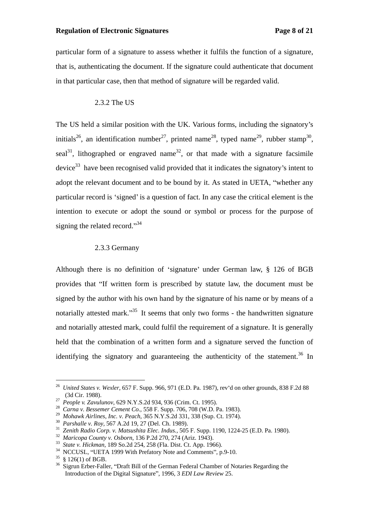particular form of a signature to assess whether it fulfils the function of a signature, that is, authenticating the document. If the signature could authenticate that document in that particular case, then that method of signature will be regarded valid.

### 2.3.2 The US

The US held a similar position with the UK. Various forms, including the signatory's initials<sup>26</sup>, an identification number<sup>27</sup>, printed name<sup>28</sup>, typed name<sup>29</sup>, rubber stamp<sup>30</sup>, , rubber stamp<sup>30</sup>, 30 , seal<sup>31</sup>, lithographed or engraved name<sup>32</sup>, or that made with a signature facsimile device<sup>33</sup> have been recognised valid provided that it indicates the signatory's intent to adopt the relevant document and to be bound by it. As stated in UETA, "whether any particular record is 'signed' is a question of fact. In any case the critical element is the intention to execute or adopt the sound or symbol or process for the purpose of signing the related record." $34$ 

#### 2.3.3 Germany

Although there is no definition of 'signature' under German law,  $\S$  126 of BGB provides that "If written form is prescribed by statute law, the document must be signed by the author with his own hand by the signature of his name or by means of a notarially attested mark.<sup>35</sup> It seems that only two forms - the handwritten signature and notarially attested mark, could fulfil the requirement of a signature. It is generally held that the combination of a written form and a signature served the function of identifying the signatory and guaranteeing the authenticity of the statement.<sup>36</sup> In

<sup>&</sup>lt;sup>26</sup> *United States v. Wexler,* 657 F. Supp. 966, 971 (E.D. Pa. 1987), rev'd on other grounds, 838 F.2d 88 (3d Cir. 1988). <sup>27</sup> *People v. Zavulunov*, 629 N.Y.S.2d 934, 936 (Crim. Ct. 1995). <sup>28</sup> *Carna v. Bessemer Cement Co.*, 558 F. Supp. 706, 708 (W.D. Pa. 1983).

<sup>&</sup>lt;sup>29</sup> Mohawk Airlines, Inc. v. Peach, 365 N.Y.S.2d 331, 338 (Sup. Ct. 1974).<br><sup>30</sup> Parshalle v. Roy, 567 A.2d 19, 27 (Del. Ch. 1989).<br><sup>31</sup> Zenith Radio Corp. v. Matsushita Elec. Indus., 505 F. Supp. 1190, 1224-25 (E.D. Pa. 1

Introduction of the Digital Signature", 1996, 3 *EDI Law Review* 25.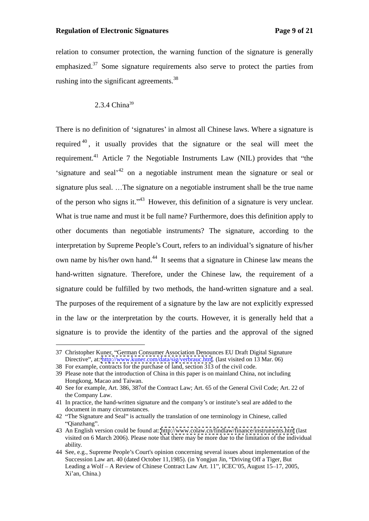#### **Regulation of Electronic Signatures Page 9 of 21**

relation to consumer protection, the warning function of the signature is generally emphasized. $37$  Some signature requirements also serve to protect the parties from rushing into the significant agreements.<sup>38</sup>

### $2.3.4 \text{ China}^{39}$

There is no definition of 'signatures' in almost all Chinese laws. Where a signature is required <sup>40</sup>, it usually provides that the signature or the seal will meet the requirement.<sup>41</sup> Article 7 the Negotiable Instruments Law (NIL) provides that "the signature and seal<sup> $1/42$ </sup> on a negotiable instrument mean the signature or seal or signature plus seal.  $\ldots$ The signature on a negotiable instrument shall be the true name of the person who signs it. $1.43$  However, this definition of a signature is very unclear. What is true name and must it be full name? Furthermore, does this definition apply to other documents than negotiable instruments? The signature, according to the interpretation by Supreme People's Court, refers to an individual's signature of his/her own name by his/her own hand.<sup>44</sup> It seems that a signature in Chinese law means the hand-written signature. Therefore, under the Chinese law, the requirement of a signature could be fulfilled by two methods, the hand-written signature and a seal. The purposes of the requirement of a signature by the law are not explicitly expressed in the law or the interpretation by the courts. However, it is generally held that a signature is to provide the identity of the parties and the approval of the signed

<sup>37</sup> Christopher Kuner, "German Consumer Association Denounces EU Draft Digital Signature Directive", at:<http://www.kuner.com/data/sig/verbrauc.htm>. (last visited on 13 Mar. 06)

<sup>38</sup> For example, contracts for the purchase of land, section 313 of the civil code.

<sup>39</sup> Please note that the introduction of China in this paper is on mainland China, not including Hongkong, Macao and Taiwan.

<sup>40</sup> See for example, Art. 386, 387of the Contract Law; Art. 65 of the General Civil Code; Art. 22 of the Company Law.

<sup>41</sup> In practice, the hand-written signature and the company's or institute's seal are added to the document in many circumstances.

<sup>42 &</sup>quot;The Signature and Seal" is actually the translation of one terminology in Chinese, called "Qianzhang". Qianzhang .

<sup>43</sup> An English version could be found at:<http://www.colaw.cn/findlaw/finance/instruments.htm> (last visited on 6 March 2006). Please note that there may be more due to the limitation of the individual ability.

<sup>44</sup> See, e.g., Supreme People's Court's opinion concerning several issues about implementation of the Succession Law art. 40 (dated October 11,1985). (in Yongjun Jin, "Driving Off a Tiger, But Leading a Wolf - A Review of Chinese Contract Law Art. 11", ICEC'05, August 15-17, 2005, Xi an, China.)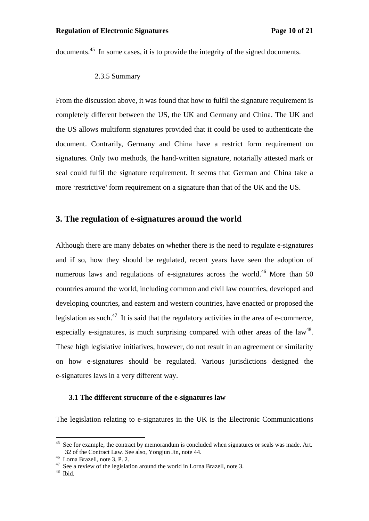documents.<sup>45</sup> In some cases, it is to provide the integrity of the signed documents.

2.3.5 Summary

From the discussion above, it was found that how to fulfil the signature requirement is completely different between the US, the UK and Germany and China. The UK and the US allows multiform signatures provided that it could be used to authenticate the document. Contrarily, Germany and China have a restrict form requirement on signatures. Only two methods, the hand-written signature, notarially attested mark or seal could fulfil the signature requirement. It seems that German and China take a more 'restrictive' form requirement on a signature than that of the UK and the US.

## **3. The regulation of e-signatures around the world**

Although there are many debates on whether there is the need to regulate e-signatures and if so, how they should be regulated, recent years have seen the adoption of numerous laws and regulations of e-signatures across the world.<sup>46</sup> More than 50 countries around the world, including common and civil law countries, developed and developing countries, and eastern and western countries, have enacted or proposed the legislation as such.<sup>47</sup> It is said that the regulatory activities in the area of e-commerce, especially e-signatures, is much surprising compared with other areas of the  $law<sup>48</sup>$ . 48 especially e-signatures, is much surprising compared with other areas of the law<sup>48</sup>.<br>These high legislative initiatives, however, do not result in an agreement or similarity on how e-signatures should be regulated. Various jurisdictions designed the e-signatures laws in a very different way.

### **3.1 The different structure of the e-signatures law**

The legislation relating to e-signatures in the UK is the Electronic Communications

<sup>&</sup>lt;sup>45</sup> See for example, the contract by memorandum is concluded when signatures or seals was made. Art.  $32$  of the Contract Law. See also, Yongjun Jin, note 44. 32 of the Contract Law. See also, Yongjun Jin, note 44.<br><sup>46</sup> Lorna Brazell, note 3, P. 2.<br><sup>47</sup> See a review of the legislation around the world in Lorna Brazell, note 3.<br><sup>48</sup> Ibid.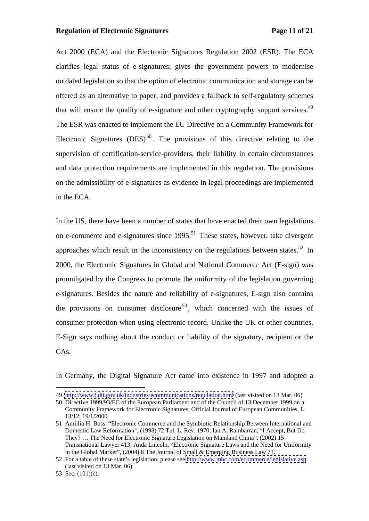#### **Regulation of Electronic Signatures Page 11 of 21**

Act 2000 (ECA) and the Electronic Signatures Regulation 2002 (ESR). The ECA clarifies legal status of e-signatures; gives the government powers to modernise outdated legislation so that the option of electronic communication and storage can be offered as an alternative to paper; and provides a fallback to self-regulatory schemes that will ensure the quality of e-signature and other cryptography support services.<sup>49</sup> The ESR was enacted to implement the EU Directive on a Community Framework for Electronic Signatures  $(DES)^{50}$ . The provisions of this directive relating to the supervision of certification-service-providers, their liability in certain circumstances and data protection requirements are implemented in this regulation. The provisions on the admissibility of e-signatures as evidence in legal proceedings are implemented in the ECA.

In the US, there have been a number of states that have enacted their own legislations on e-commerce and e-signatures since  $1995$ <sup>51</sup>. These states, however, take divergent approaches which result in the inconsistency on the regulations between states.<sup>52</sup> In 2000, the Electronic Signatures in Global and National Commerce Act (E-sign) was promulgated by the Congress to promote the uniformity of the legislation governing e-signatures. Besides the nature and reliability of e-signatures, E-sign also contains the provisions on consumer disclosure<sup>53</sup>, which concerned with the issues of consumer protection when using electronic record. Unlike the UK or other countries, E-Sign says nothing about the conduct or liability of the signatory, recipient or the CAs.

In Germany, the Digital Signature Act came into existence in 1997 and adopted a

 <sup>49</sup> <http://www2.dti.gov.uk/industries/ecommunications/regulation.html> (last visited on 13 Mar. 06)

<sup>50</sup> Directive 1999/93/EC of the European Parliament and of the Council of 13 December 1999 on a Community Framework for Electronic Signatures, Official Journal of European Communities, L 13/12, 19/1/2000.

<sup>51</sup> Amillia H. Boss. Electronic Commerce and the Symbiotic Relationship Between International and Domestic Law Reformation", (1998) 72 Tul. L. Rev. 1970; Ian A. Rambarran, "I Accept, But Do They? ... The Need for Electronic Signature Legislation on Mainland China", (2002) 15 Transnational Lawyer 413; Anda Lincoln, "Electronic Signature Laws and the Need for Uniformity in the Global Market", (2004) 8 The Journal of Small & Emerging Business Law 71.

<sup>52</sup> For a table of these state's legislation, please see<http://www.mbc.com/ecommerce/legislative.asp>. (last visited on 13 Mar. 06)

<sup>53</sup> Sec.  $(101)(c)$ .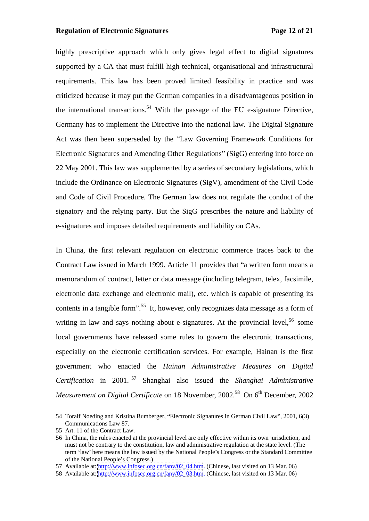#### **Regulation of Electronic Signatures Page 12 of 21**

highly prescriptive approach which only gives legal effect to digital signatures supported by a CA that must fulfill high technical, organisational and infrastructural requirements. This law has been proved limited feasibility in practice and was criticized because it may put the German companies in a disadvantageous position in the international transactions.<sup>54</sup> With the passage of the EU e-signature Directive, Germany has to implement the Directive into the national law. The Digital Signature Act was then been superseded by the "Law Governing Framework Conditions for Electronic Signatures and Amending Other Regulations" (SigG) entering into force on 22 May 2001. This law was supplemented by a series of secondary legislations, which include the Ordinance on Electronic Signatures (SigV), amendment of the Civil Code and Code of Civil Procedure. The German law does not regulate the conduct of the signatory and the relying party. But the SigG prescribes the nature and liability of e-signatures and imposes detailed requirements and liability on CAs.

In China, the first relevant regulation on electronic commerce traces back to the Contract Law issued in March 1999. Article 11 provides that "a written form means a memorandum of contract, letter or data message (including telegram, telex, facsimile, electronic data exchange and electronic mail), etc. which is capable of presenting its contents in a tangible form".<sup>55</sup> It, however, only recognizes data message as a form of writing in law and says nothing about e-signatures. At the provincial level,  $56$  some some local governments have released some rules to govern the electronic transactions, especially on the electronic certification services. For example, Hainan is the first government who enacted the *Hainan Administrative Measures on Digital Certification* in 2001. <sup>57</sup> Shanghai also issued the *Shanghai Administrative Measurement on Digital Certificate* on 18 November, 2002.<sup>58</sup> On 6<sup>th</sup> December, 2002  $<sup>th</sup>$  December, 2002</sup>

<sup>54</sup> Toralf Noeding and Kristina Bumberger, "Electronic Signatures in German Civil Law", 2001, 6(3) Communications Law 87.

<sup>55</sup> Art. 11 of the Contract Law.

<sup>56</sup> In China, the rules enacted at the provincial level are only effective within its own jurisdiction, and must not be contrary to the constitution, law and administrative regulation at the state level. (The term 'law' here means the law issued by the National People's Congress or the Standard Committee of the National People's Congress.)

<sup>57</sup> Available at: [http://www.infosec.org.cn/fanv/02\\_04.htm](http://www.infosec.org.cn/fanv/02_04.htm). (Chinese, last visited on 13 Mar. 06)

<sup>58</sup> Available at: [http://www.infosec.org.cn/fanv/02\\_03.htm](http://www.infosec.org.cn/fanv/02_03.htm). (Chinese, last visited on 13 Mar. 06)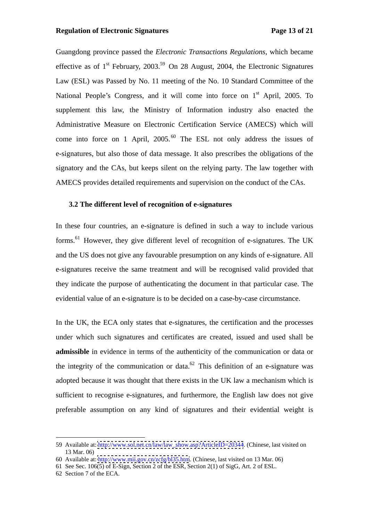### **Regulation of Electronic Signatures Page 13 of 21**

Guangdong province passed the *Electronic Transactions Regulations*, which became effective as of  $1^{st}$  February, 2003.<sup>59</sup> On 28 August, 2004, the Electronic Signatures Law (ESL) was Passed by No. 11 meeting of the No. 10 Standard Committee of the National People's Congress, and it will come into force on  $1<sup>st</sup>$  April, 2005. To st April, 2005. To supplement this law, the Ministry of Information industry also enacted the Administrative Measure on Electronic Certification Service (AMECS) which will come into force on 1 April,  $2005$ .<sup>60</sup> The ESL not only address the issues of e-signatures, but also those of data message. It also prescribes the obligations of the signatory and the CAs, but keeps silent on the relying party. The law together with AMECS provides detailed requirements and supervision on the conduct of the CAs.

## **3.2 The different level of recognition of e-signatures**

In these four countries, an e-signature is defined in such a way to include various forms.<sup>61</sup> However, they give different level of recognition of e-signatures. The UK and the US does not give any favourable presumption on any kinds of e-signature. All e-signatures receive the same treatment and will be recognised valid provided that they indicate the purpose of authenticating the document in that particular case. The evidential value of an e-signature is to be decided on a case-by-case circumstance.

In the UK, the ECA only states that e-signatures, the certification and the processes under which such signatures and certificates are created, issued and used shall be **admissible** in evidence in terms of the authenticity of the communication or data or the integrity of the communication or data.<sup>62</sup> This definition of an e-signature was adopted because it was thought that there exists in the UK law a mechanism which is sufficient to recognise e-signatures, and furthermore, the English law does not give preferable assumption on any kind of signatures and their evidential weight is

 <sup>59</sup> Available at: [http://www.sol.net.cn/law/law\\_show.asp?ArticleID=20344](http://www.sol.net.cn/law/law_show.asp?ArticleID=20344). (Chinese, last visited on 13 Mar. 06)

<sup>60</sup> Available at:<http://www.mii.gov.cn/zcfg/bl35.htm>. (Chinese, last visited on 13 Mar. 06)

<sup>61</sup> See Sec. 106(5) of E-Sign, Section 2 of the ESR, Section 2(1) of SigG, Art. 2 of ESL.

<sup>62</sup> Section 7 of the ECA.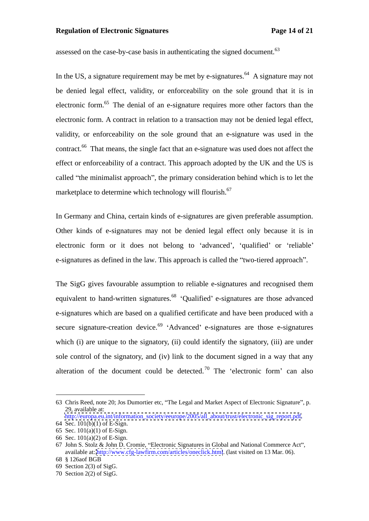### **Regulation of Electronic Signatures Page 14 of 21**

assessed on the case-by-case basis in authenticating the signed document.<sup>63</sup>

In the US, a signature requirement may be met by e-signatures.<sup>64</sup> A signature may not be denied legal effect, validity, or enforceability on the sole ground that it is in electronic form.<sup>65</sup> The denial of an e-signature requires more other factors than the electronic form. A contract in relation to a transaction may not be denied legal effect, validity, or enforceability on the sole ground that an e-signature was used in the contract.<sup>66</sup> That means, the single fact that an e-signature was used does not affect the effect or enforceability of a contract. This approach adopted by the UK and the US is called "the minimalist approach", the primary consideration behind which is to let the marketplace to determine which technology will flourish.<sup>67</sup>

In Germany and China, certain kinds of e-signatures are given preferable assumption. Other kinds of e-signatures may not be denied legal effect only because it is in electronic form or it does not belong to 'advanced', 'qualified' or 'reliable' e-signatures as defined in the law. This approach is called the "two-tiered approach".

The SigG gives favourable assumption to reliable e-signatures and recognised them equivalent to hand-written signatures.<sup>68</sup> 'Qualified' e-signatures are those advanced e-signatures which are based on a qualified certificate and have been produced with a secure signature-creation device.<sup>69</sup> 'Advanced' e-signatures are those e-signatures which (i) are unique to the signatory, (ii) could identify the signatory, (iii) are under sole control of the signatory, and (iv) link to the document signed in a way that any alteration of the document could be detected.<sup>70</sup> The 'electronic form' can also

<sup>63</sup> Chris Reed, note 20; Jos Dumortier etc, "The Legal and Market Aspect of Electronic Signature", p. 29, available at:

[http://europa.eu.int/information\\_society/eeurope/2005/all\\_about/trust/electronic\\_sig\\_report.pdf.](http://europa.eu.int/information_society/eeurope/2005/all_about/trust/electronic_sig_report.pdf) 64 Sec. 101(b)(1) of E-Sign.

<sup>65</sup> Sec. 101(a)(1) of E-Sign.

<sup>66</sup> Sec.  $101(a)(2)$  of E-Sign.<br>67 John S. Stolz & John D. Cromie, "Electronic Signatures in Global and National Commerce Act", available at:<http://www.cfg-lawfirm.com/articles/oneclick.html>. (last visited on 13 Mar. 06). 68 § 126aof BGB

 $69$  Section 2(3) of SigG.

<sup>70</sup> Section 2(2) of SigG.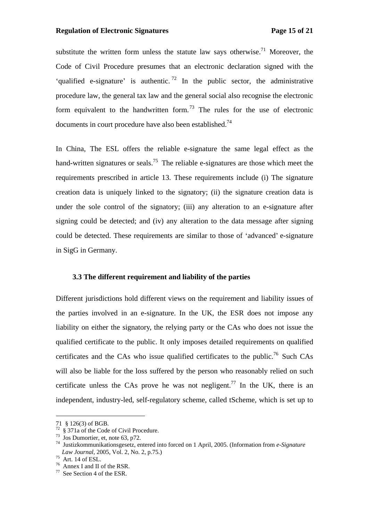### **Regulation of Electronic Signatures Page 15 of 21**

substitute the written form unless the statute law says otherwise.<sup>71</sup> Moreover, the Code of Civil Procedure presumes that an electronic declaration signed with the 'qualified e-signature' is authentic.<sup>72</sup> In the public sector, the administrative procedure law, the general tax law and the general social also recognise the electronic form equivalent to the handwritten form.<sup>73</sup> The rules for the use of electronic documents in court procedure have also been established.<sup>74</sup>

In China, The ESL offers the reliable e-signature the same legal effect as the hand-written signatures or seals.<sup>75</sup> The reliable e-signatures are those which meet the requirements prescribed in article 13. These requirements include (i) The signature creation data is uniquely linked to the signatory; (ii) the signature creation data is under the sole control of the signatory; (iii) any alteration to an e-signature after signing could be detected; and (iv) any alteration to the data message after signing could be detected. These requirements are similar to those of 'advanced' e-signature in SigG in Germany.

#### **3.3 The different requirement and liability of the parties**

Different jurisdictions hold different views on the requirement and liability issues of the parties involved in an e-signature. In the UK, the ESR does not impose any liability on either the signatory, the relying party or the CAs who does not issue the qualified certificate to the public. It only imposes detailed requirements on qualified certificates and the CAs who issue qualified certificates to the public.<sup>76</sup> Such CAs will also be liable for the loss suffered by the person who reasonably relied on such certificate unless the CAs prove he was not negligent.<sup>77</sup> In the UK, there is an independent, industry-led, self-regulatory scheme, called tScheme, which is set up to

<sup>71 § 126(3)</sup> of BGB.<br><sup>72</sup> § 371a of the Code of Civil Procedure.<br><sup>73</sup> Jos Dumortier, et, note 63, p72.<br><sup>74</sup> Justizkommunikationsgesetz, entered into forced on 1 April, 2005. (Information from *e-Signature Law Journal*, 2005, Vol. 2, No. 2, p.75.)<br><sup>75</sup> Art. 14 of ESL.<br><sup>76</sup> Annex I and II of the RSR.<br><sup>77</sup> See Section 4 of the ESR.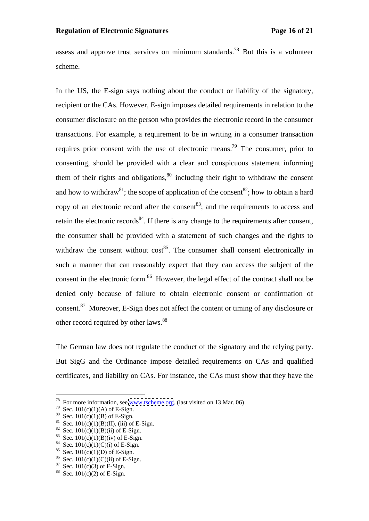assess and approve trust services on minimum standards.<sup>78</sup> But this is a volunteer scheme.

In the US, the E-sign says nothing about the conduct or liability of the signatory, recipient or the CAs. However, E-sign imposes detailed requirements in relation to the consumer disclosure on the person who provides the electronic record in the consumer transactions. For example, a requirement to be in writing in a consumer transaction requires prior consent with the use of electronic means.<sup>79</sup> The consumer, prior to consenting, should be provided with a clear and conspicuous statement informing them of their rights and obligations, $80$  including their right to withdraw the consent and how to withdraw<sup>81</sup>; the scope of application of the consent<sup>82</sup>; how to obtain a hard copy of an electronic record after the consent  $83$ ; and the requirements to access and retain the electronic records<sup>84</sup>. If there is any change to the requirements after consent, the consumer shall be provided with a statement of such changes and the rights to withdraw the consent without  $\cos^{85}$ . The consumer shall consent electronically in such a manner that can reasonably expect that they can access the subject of the consent in the electronic form.<sup>86</sup> However, the legal effect of the contract shall not be denied only because of failure to obtain electronic consent or confirmation of consent.87 Moreover, E-Sign does not affect the content or timing of any disclosure or other record required by other laws.<sup>88</sup>

The German law does not regulate the conduct of the signatory and the relying party. But SigG and the Ordinance impose detailed requirements on CAs and qualified certificates, and liability on CAs. For instance, the CAs must show that they have the

<sup>&</sup>lt;sup>78</sup> For more information, see [www.tscheme.org](http://www.tscheme.org). (last visited on 13 Mar. 06)<br><sup>79</sup> Sec. 101(c)(1)(A) of E-Sign.<br><sup>80</sup> Sec. 101(c)(1)(B) of E-Sign.<br><sup>81</sup> Sec. 101(c)(1)(B)(II), (iii) of E-Sign.<br><sup>82</sup> Sec. 101(c)(1)(B)(ii) of E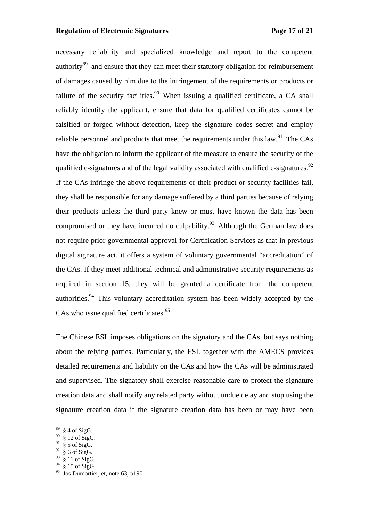### **Regulation of Electronic Signatures Page 17 of 21**

necessary reliability and specialized knowledge and report to the competent authority<sup>89</sup> and ensure that they can meet their statutory obligation for reimbursement of damages caused by him due to the infringement of the requirements or products or failure of the security facilities.<sup>90</sup> When issuing a qualified certificate, a CA shall reliably identify the applicant, ensure that data for qualified certificates cannot be falsified or forged without detection, keep the signature codes secret and employ reliable personnel and products that meet the requirements under this law.<sup>91</sup> The CAs have the obligation to inform the applicant of the measure to ensure the security of the qualified e-signatures and of the legal validity associated with qualified e-signatures. $92$ If the CAs infringe the above requirements or their product or security facilities fail, they shall be responsible for any damage suffered by a third parties because of relying their products unless the third party knew or must have known the data has been compromised or they have incurred no culpability.<sup>93</sup> Although the German law does not require prior governmental approval for Certification Services as that in previous digital signature act, it offers a system of voluntary governmental "accreditation" of the CAs. If they meet additional technical and administrative security requirements as required in section 15, they will be granted a certificate from the competent authorities.<sup>94</sup> This voluntary accreditation system has been widely accepted by the CAs who issue qualified certificates. $95$ 

The Chinese ESL imposes obligations on the signatory and the CAs, but says nothing about the relying parties. Particularly, the ESL together with the AMECS provides detailed requirements and liability on the CAs and how the CAswill be administrated and supervised. The signatory shall exercise reasonable care to protect the signature creation data and shall notify any related party without undue delay and stop using the signature creation data if the signature creation data has been or may have been

 $89\,$  § 4 of SigG.

 $90\text{ }$  § 12 of SigG.

 $91\,$  § 5 of SigG.

 $92 \text{ § } 6 \text{ of } \text{SigG}.$ 

 $93\text{ }$  § 11 of SigG.

 $94 \text{ }$  § 15 of SigG.

 $^{94}$  § 15 of SigG.<br><sup>95</sup> Jos Dumortier, et, note 63, p190.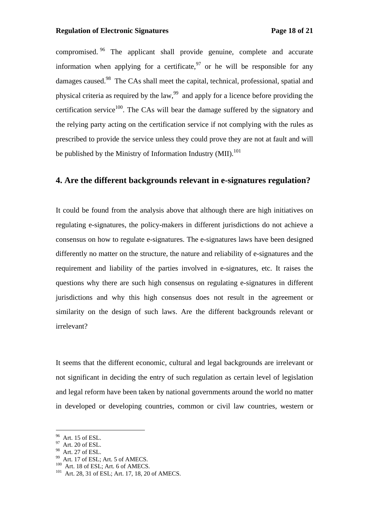compromised. <sup>96</sup> The applicant shall provide genuine, complete and accurate information when applying for a certificate,  $97$  or he will be responsible for any damages caused.<sup>98</sup> The CAs shall meet the capital, technical, professional, spatial and physical criteria as required by the law,<sup>99</sup> and apply for a licence before providing the certification service<sup>100</sup>. The CAs will bear the damage suffered by the signatory and the relying party acting on the certification service if not complying with the rules as prescribed to provide the service unless they could prove they are not at fault and will be published by the Ministry of Information Industry (MII).<sup>101</sup>

## **4. Are the different backgrounds relevant in e-signatures regulation?**

It could be found from the analysis above that although there are high initiatives on regulating e-signatures, the policy-makers in different jurisdictions do not achieve a consensus on how to regulate e-signatures. The e-signatures laws have been designed differently no matter on the structure, the nature and reliability of e-signatures and the requirement and liability of the parties involved in e-signatures, etc. It raises the questions why there are such high consensus on regulating e-signatures in different jurisdictions and why this high consensus does not result in the agreement or similarity on the design of such laws. Are the different backgrounds relevant or irrelevant?

It seems that the different economic, cultural and legal backgrounds are irrelevant or not significant in deciding the entry of such regulation as certain level of legislation and legal reform have been taken by national governments around the world no matter in developed or developing countries, common or civil law countries, western or

 $\frac{96}{97}$  Art. 15 of ESL.<br> $\frac{97}{97}$  Art. 20 of ESL.

<sup>&</sup>lt;sup>98</sup> Art. 27 of ESL.<br><sup>99</sup> Art. 17 of ESL; Art. 5 of AMECS.<br><sup>100</sup> Art. 18 of ESL; Art. 6 of AMECS.<br><sup>101</sup> Art. 28, 31 of ESL; Art. 17, 18, 20 of AMECS.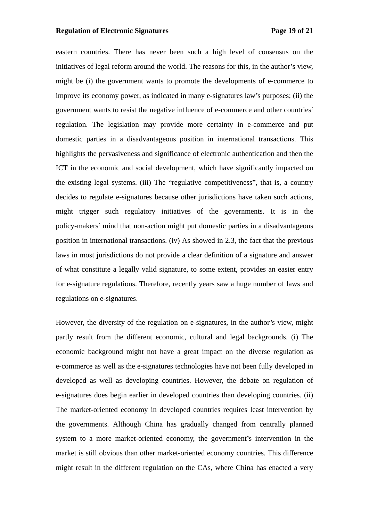### **Regulation of Electronic Signatures Page 19 of 21**

eastern countries. There has never been such a high level of consensus on the initiatives of legal reform around the world. The reasons for this, in the author's view, might be (i) the government wants to promote the developments of e-commerce to improve its economy power, as indicated in many e-signatures law's purposes; (ii) the government wants to resist the negative influence of e-commerce and other countries regulation. The legislation may provide more certainty in e-commerce and put domestic parties in a disadvantageous position in international transactions. This highlights the pervasiveness and significance of electronic authentication and then the ICT in the economic and social development, which have significantly impacted on the existing legal systems. (iii) The "regulative competitiveness", that is, a country decides to regulate e-signatures because other jurisdictions have taken such actions, might trigger such regulatory initiatives of the governments. It is in the policy-makers' mind that non-action might put domestic parties in a disadvantageous position in international transactions. (iv) As showed in 2.3, the fact that the previous laws in most jurisdictions do not provide a clear definition of a signature and answer of what constitute a legally valid signature, to some extent, provides an easier entry for e-signature regulations. Therefore, recently years saw a huge number of laws and regulations on e-signatures.

However, the diversity of the regulation on e-signatures, in the author's view, might partly result from the different economic, cultural and legal backgrounds. (i) The economic background might not have a great impact on the diverse regulation as e-commerce as well as the e-signatures technologies have not been fully developed in developed as well as developing countries. However, the debate on regulation of e-signatures does begin earlier in developed countries than developing countries. (ii) The market-oriented economy in developed countries requires least intervention by the governments. Although China has gradually changed from centrally planned system to a more market-oriented economy, the government's intervention in the market is still obvious than other market-oriented economy countries. This difference might result in the different regulation on the CAs, where China has enacted a very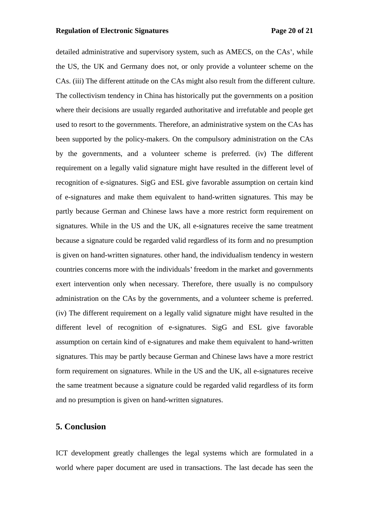### **Regulation of Electronic Signatures Page 20 of 21**

detailed administrative and supervisory system, such as AMECS, on the CAs', while the US, the UK and Germany does not, or only provide a volunteer scheme on the CAs. (iii) The different attitude on the CAs might also result from the different culture. The collectivism tendency in China has historically put the governments on a position where their decisions are usually regarded authoritative and irrefutable and people get used to resort to the governments. Therefore, an administrative system on the CAs has been supported by the policy-makers. On the compulsory administration on the CAs by the governments, and a volunteer scheme is preferred. (iv) The different requirement on a legally valid signature might have resulted in the different level of recognition of e-signatures. SigG and ESL give favorable assumption on certain kind of e-signatures and make them equivalent to hand-written signatures. This may be partly because German and Chinese laws have a more restrict form requirement on signatures. While in the US and the UK, all e-signatures receive the same treatment because a signature could be regarded valid regardless of its form and no presumption is given on hand-written signatures. other hand, the individualism tendency in western countries concerns more with the individuals freedom in the market and governments exert intervention only when necessary. Therefore, there usually is no compulsory administration on the CAs by the governments, and <sup>a</sup> volunteer scheme is preferred. (iv) The different requirement on <sup>a</sup> legally valid signature might have resulted in the different level of recognition of e-signatures. SigG and ESL give favorable assumption on certain kind of e-signatures and make them equivalent to hand-written signatures. This may be partly because German and Chinese laws have a more restrict form requirement on signatures. While in the US and the UK, all e-signatures receive the same treatment because a signature could be regarded valid regardless of its form and no presumption is given on hand-written signatures.

## **5. Conclusion**

ICT development greatly challenges the legal systems which are formulated in a world where paper document are used in transactions. The last decade has seen the